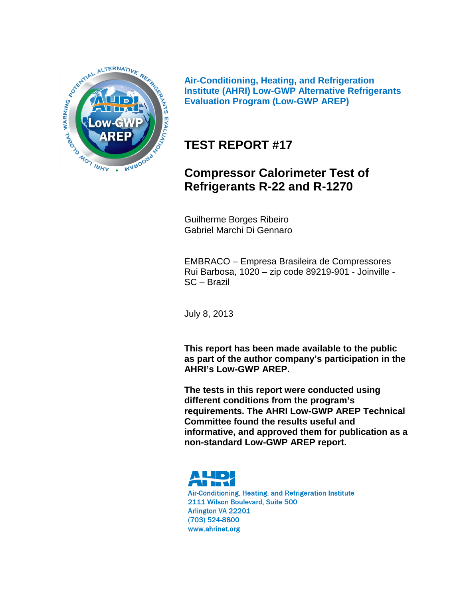

**Air-Conditioning, Heating, and Refrigeration Institute (AHRI) Low-GWP Alternative Refrigerants Evaluation Program (Low-GWP AREP)**

# **TEST REPORT #17**

# **Compressor Calorimeter Test of Refrigerants R-22 and R-1270**

Guilherme Borges Ribeiro Gabriel Marchi Di Gennaro

EMBRACO – Empresa Brasileira de Compressores Rui Barbosa, 1020 – zip code 89219-901 - Joinville - SC – Brazil

July 8, 2013

**This report has been made available to the public as part of the author company's participation in the AHRI's Low-GWP AREP.**

**The tests in this report were conducted using different conditions from the program's requirements. The AHRI Low-GWP AREP Technical Committee found the results useful and informative, and approved them for publication as a non-standard Low-GWP AREP report.**



Air-Conditioning, Heating, and Refrigeration Institute 2111 Wilson Boulevard, Suite 500 Arlington VA 22201 (703) 524-8800 www.ahrinet.org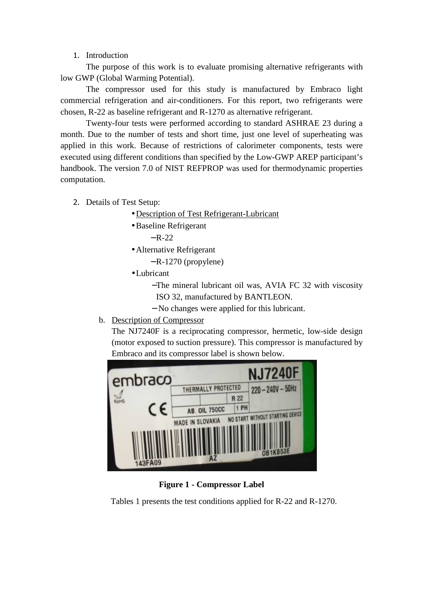#### 1. Introduction

The purpose of this work is to evaluate promising alternative refrigerants with low GWP (Global Warming Potential).

The compressor used for this study is manufactured by Embraco light commercial refrigeration and air-conditioners. For this report, two refrigerants were chosen, R-22 as baseline refrigerant and R-1270 as alternative refrigerant.

Twenty-four tests were performed according to standard ASHRAE 23 during a month. Due to the number of tests and short time, just one level of superheating was applied in this work. Because of restrictions of calorimeter components, tests were executed using different conditions than specified by the Low-GWP AREP participant's handbook. The version 7.0 of NIST REFPROP was used for thermodynamic properties computation.

- 2. Details of Test Setup:
	- Description of Test Refrigerant-Lubricant
	- •Baseline Refrigerant  $-R-22$
	- Alternative Refrigerant
		- − R-1270 (propylene)
	- •Lubricant
		- −The mineral lubricant oil was, AVIA FC 32 with viscosity ISO 32, manufactured by BANTLEON.
		- − No changes were applied for this lubricant.
	- b. Description of Compressor

The NJ7240F is a reciprocating compressor, hermetic, low-side design (motor exposed to suction pressure). This compressor is manufactured by Embraco and its compressor label is shown below.



**Figure 1 - Compressor Label** 

Tables 1 presents the test conditions applied for R-22 and R-1270.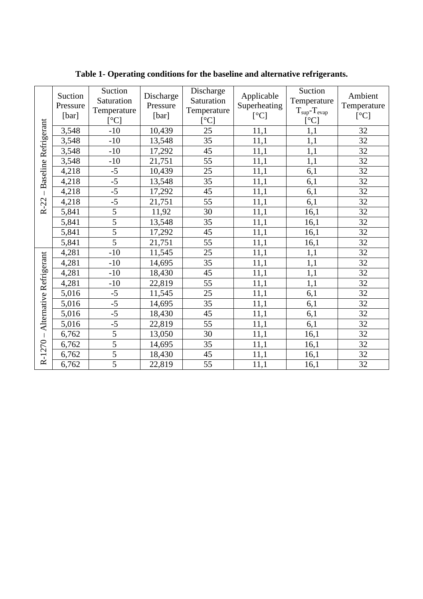|                         | Suction<br>Pressure<br>[bar] | Suction<br>Saturation<br>Temperature<br>[°C] | Discharge<br>Pressure<br>[bar] | Discharge<br>Saturation<br>Temperature<br>[°C] | Applicable<br>Superheating<br>[°C] | Suction<br>Temperature<br>$T_{\rm sup}$ - $T_{\rm evap}$<br>[°C] | Ambient<br>Temperature<br>[°C] |
|-------------------------|------------------------------|----------------------------------------------|--------------------------------|------------------------------------------------|------------------------------------|------------------------------------------------------------------|--------------------------------|
| Baseline Refrigerant    | 3,548                        | $-10$                                        | 10,439                         | 25                                             | 11,1                               | 1,1                                                              | 32                             |
|                         | 3,548                        | $-10$                                        | 13,548                         | 35                                             | 11,1                               | 1,1                                                              | 32                             |
|                         | 3,548                        | $-10$                                        | 17,292                         | 45                                             | 11,1                               | 1,1                                                              | 32                             |
|                         | 3,548                        | $-10$                                        | 21,751                         | 55                                             | 11,1                               | 1,1                                                              | 32                             |
|                         | 4,218                        | $-5$                                         | 10,439                         | 25                                             | 11,1                               | 6,1                                                              | 32                             |
|                         | 4,218                        | $-5$                                         | 13,548                         | 35                                             | 11,1                               | 6,1                                                              | 32                             |
|                         | 4,218                        | $-5$                                         | 17,292                         | 45                                             | 11,1                               | 6,1                                                              | 32                             |
| $R-22$                  | 4,218                        | $-5$                                         | 21,751                         | 55                                             | 11,1                               | 6,1                                                              | 32                             |
|                         | 5,841                        | $\overline{5}$                               | 11,92                          | 30                                             | 11,1                               | 16,1                                                             | 32                             |
|                         | 5,841                        | $\overline{5}$                               | 13,548                         | 35                                             | 11,1                               | 16,1                                                             | 32                             |
|                         | 5,841                        | $\overline{5}$                               | 17,292                         | 45                                             | 11,1                               | 16,1                                                             | 32                             |
|                         | 5,841                        | $\overline{5}$                               | 21,751                         | 55                                             | 11,1                               | 16,1                                                             | 32                             |
|                         | 4,281                        | $-10$                                        | 11,545                         | 25                                             | 11,1                               | 1,1                                                              | 32                             |
| Alternative Refrigerant | 4,281                        | $-10$                                        | 14,695                         | 35                                             | 11,1                               | 1,1                                                              | 32                             |
|                         | 4,281                        | $-10$                                        | 18,430                         | 45                                             | 11,1                               | 1,1                                                              | 32                             |
|                         | 4,281                        | $-10$                                        | 22,819                         | 55                                             | 11,1                               | 1,1                                                              | 32                             |
|                         | 5,016                        | $-5$                                         | 11,545                         | 25                                             | 11,1                               | 6,1                                                              | 32                             |
|                         | 5,016                        | $-5$                                         | 14,695                         | 35                                             | 11,1                               | 6,1                                                              | 32                             |
|                         | 5,016                        | $-5$                                         | 18,430                         | 45                                             | 11,1                               | 6,1                                                              | 32                             |
|                         | 5,016                        | $-5$                                         | 22,819                         | 55                                             | 11,1                               | 6,1                                                              | 32                             |
| $\overline{1}$          | 6,762                        | $\overline{5}$                               | 13,050                         | 30                                             | 11,1                               | 16,1                                                             | 32                             |
|                         | 6,762                        | $\overline{5}$                               | 14,695                         | 35                                             | 11,1                               | 16,1                                                             | 32                             |
| R-1270                  | 6,762                        | 5                                            | 18,430                         | 45                                             | 11,1                               | 16,1                                                             | 32                             |
|                         | 6,762                        | $\overline{5}$                               | 22,819                         | 55                                             | 11,1                               | 16,1                                                             | 32                             |

**Table 1- Operating conditions for the baseline and alternative refrigerants.**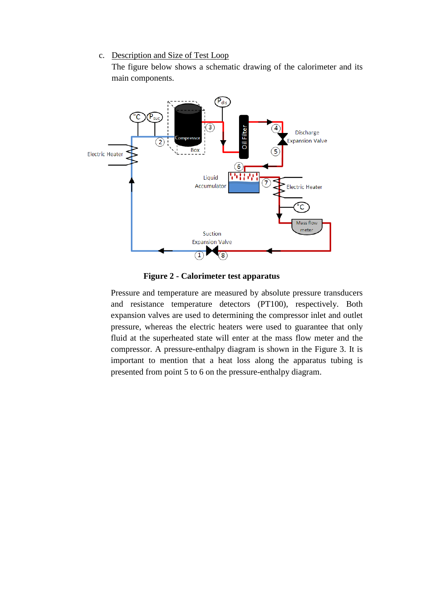#### c. Description and Size of Test Loop

The figure below shows a schematic drawing of the calorimeter and its main components.



**Figure 2 - Calorimeter test apparatus** 

Pressure and temperature are measured by absolute pressure transducers and resistance temperature detectors (PT100), respectively. Both expansion valves are used to determining the compressor inlet and outlet pressure, whereas the electric heaters were used to guarantee that only fluid at the superheated state will enter at the mass flow meter and the compressor. A pressure-enthalpy diagram is shown in the Figure 3. It is important to mention that a heat loss along the apparatus tubing is presented from point 5 to 6 on the pressure-enthalpy diagram.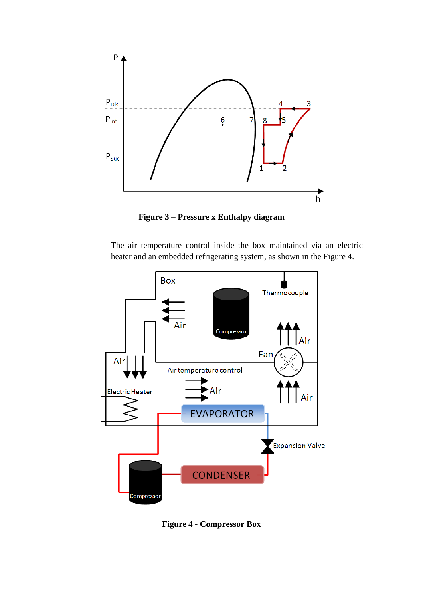

**Figure 3 – Pressure x Enthalpy diagram** 

The air temperature control inside the box maintained via an electric heater and an embedded refrigerating system, as shown in the Figure 4.



**Figure 4 - Compressor Box**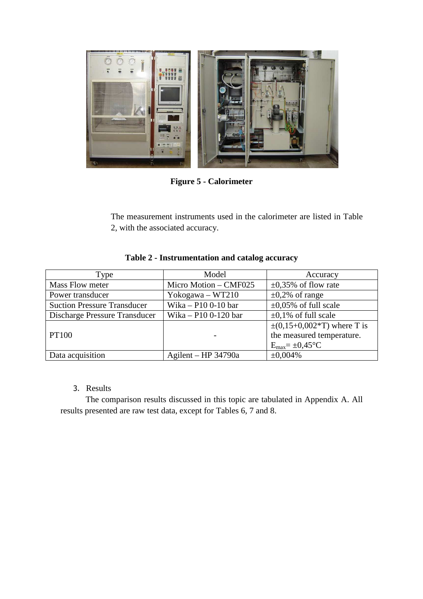

**Figure 5 - Calorimeter** 

The measurement instruments used in the calorimeter are listed in Table 2, with the associated accuracy.

| Type                               | Model                 | Accuracy                                |
|------------------------------------|-----------------------|-----------------------------------------|
| Mass Flow meter                    | Micro Motion - CMF025 | $\pm 0.35\%$ of flow rate               |
| Power transducer                   | Yokogawa - WT210      | $\pm 0.2\%$ of range                    |
| <b>Suction Pressure Transducer</b> | Wika - P10 0-10 bar   | $\pm 0.05\%$ of full scale              |
| Discharge Pressure Transducer      | Wika – P10 0-120 bar  | $\pm 0.1\%$ of full scale               |
|                                    |                       | $\pm (0.15 + 0.002 \cdot T)$ where T is |
| <b>PT100</b>                       |                       | the measured temperature.               |
|                                    |                       | $E_{\text{max}} = \pm 0.45$ °C          |
| Data acquisition                   | Agilent – HP 34790a   | $\pm 0.004\%$                           |

# **Table 2 - Instrumentation and catalog accuracy**

## 3. Results

The comparison results discussed in this topic are tabulated in Appendix A. All results presented are raw test data, except for Tables 6, 7 and 8.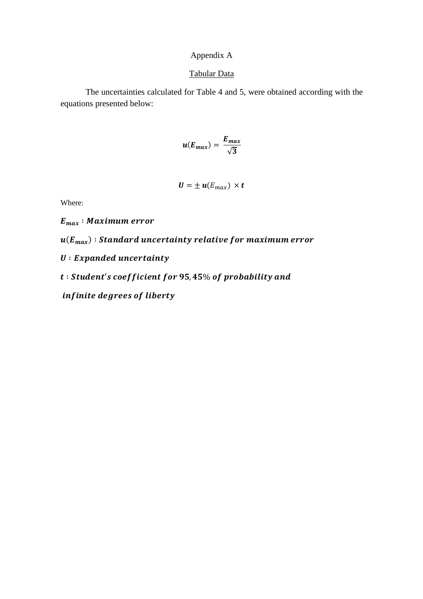## Appendix A

#### Tabular Data

The uncertainties calculated for Table 4 and 5, were obtained according with the equations presented below:

$$
u(E_{max})=\frac{E_{max}}{\sqrt{3}}
$$

$$
\boldsymbol{U} = \pm \boldsymbol{u}(E_{max}) \times \boldsymbol{t}
$$

Where:

 $E_{max}$ : Maximum error

 $\bm{u}(\bm{E}_{\bm{max}})$  : Standard uncertainty relative for maximum error

 $U: Expanded$  uncertainty

 $t: Student's coefficient for 95,45\% of probability and$ 

infinite degrees of liberty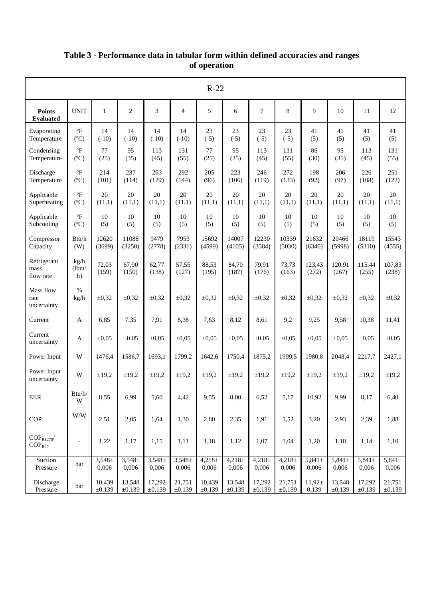| $R-22$                                               |                                       |                      |                      |                      |                      |                      |                      |                      |                      |                               |                      |                      |                      |
|------------------------------------------------------|---------------------------------------|----------------------|----------------------|----------------------|----------------------|----------------------|----------------------|----------------------|----------------------|-------------------------------|----------------------|----------------------|----------------------|
| <b>Points</b><br><b>Evaluated</b>                    | <b>UNIT</b>                           | 1                    | $\overline{2}$       | 3                    | $\overline{4}$       | 5                    | 6                    | 7                    | 8                    | $\mathbf Q$                   | 10                   | 11                   | 12                   |
| Evaporating<br>Temperature                           | $\circ$ F<br>$(^{\circ}C)$            | 14<br>$(-10)$        | 14<br>$(-10)$        | 14<br>$(-10)$        | 14<br>$(-10)$        | 23<br>$(-5)$         | 23<br>$(-5)$         | 23<br>$(-5)$         | 23<br>$(-5)$         | 41<br>(5)                     | 41<br>(5)            | 41<br>(5)            | 41<br>(5)            |
| Condensing<br>Temperature                            | $\circ$ F<br>$(^{\circ}C)$            | 77<br>(25)           | 95<br>(35)           | 113<br>(45)          | 131<br>(55)          | 77<br>(25)           | 95<br>(35)           | 113<br>(45)          | 131<br>(55)          | 86<br>(30)                    | 95<br>(35)           | 113<br>(45)          | 131<br>(55)          |
| Discharge<br>Temperature                             | $\mathrm{^{\circ}F}$<br>$(^{\circ}C)$ | 214<br>(101)         | 237<br>(114)         | 263<br>(129)         | 292<br>(144)         | 205<br>(96)          | 223<br>(106)         | 246<br>(119)         | 272<br>(133)         | 198<br>(92)                   | 206<br>(97)          | 226<br>(108)         | 251<br>(122)         |
| Applicable<br>Superheating                           | $\circ$ F<br>$(^{\circ}C)$            | 20<br>(11,1)         | 20<br>(11,1)         | 20<br>(11,1)         | 20<br>(11,1)         | 20<br>(11,1)         | 20<br>(11,1)         | 20<br>(11,1)         | 20<br>(11,1)         | 20<br>(11,1)                  | 20<br>(11,1)         | 20<br>(11,1)         | 20<br>(11,1)         |
| Applicable<br>Subcooling                             | $\circ$ F<br>$(^{\circ}C)$            | 10<br>(5)            | 10<br>(5)            | 10<br>(5)            | 10<br>(5)            | 10<br>(5)            | 10<br>(5)            | 10<br>(5)            | 10<br>(5)            | 10<br>(5)                     | 10<br>(5)            | 10<br>(5)            | 10<br>(5)            |
| Compressor<br>Capacity                               | Btu/h<br>(W)                          | 12620<br>(3699)      | 11088<br>(3250)      | 9479<br>(2778)       | 7953<br>(2331)       | 15692<br>(4599)      | 14007<br>(4105)      | 12230<br>(3584)      | 10339<br>(3030)      | 21632<br>(6340)               | 20466<br>(5998)      | 18119<br>(5310)      | 15543<br>(4555)      |
| Refrigerant<br>mass<br>flow rate                     | kg/h<br>(lbm/<br>h)                   | 72,03<br>(159)       | 67,90<br>(150)       | 62,77<br>(138)       | 57,55<br>(127)       | 88,53<br>(195)       | 84,70<br>(187)       | 79,91<br>(176)       | 73,73<br>(163)       | 123,43<br>(272)               | 120,91<br>(267)      | 115,44<br>(255)      | 107,83<br>(238)      |
| Mass flow<br>rate<br>uncertainty                     | $\%$<br>kg/h                          | $\pm 0.32$           | $\pm 0.32$           | $\pm 0.32$           | $\pm 0.32$           | $\pm 0.32$           | $\pm 0.32$           | $\pm 0,32$           | $\pm 0.32$           | $\pm 0,32$                    | $\pm 0,32$           | $\pm 0,32$           | $\pm 0,32$           |
| Current                                              | $\mathbf{A}$                          | 6,85                 | 7,35                 | 7,91                 | 8,38                 | 7,63                 | 8,12                 | 8,61                 | 9,2                  | 9,25                          | 9,58                 | 10,38                | 11,41                |
| Current<br>uncertainty                               | A                                     | $\pm 0.05$           | $\pm 0.05$           | $\pm 0.05$           | $\pm 0.05$           | $\pm 0.05$           | $\pm 0.05$           | $\pm 0.05$           | $\pm 0.05$           | $\pm 0.05$                    | $\pm 0.05$           | $\pm 0.05$           | $\pm 0.05$           |
| Power Input                                          | W                                     | 1476,4               | 1586,7               | 1693,1               | 1799,2               | 1642,6               | 1750,4               | 1875,2               | 1999,5               | 1980,8                        | 2048,4               | 2217,7               | 2427,1               |
| Power Input<br>uncertainty                           | W                                     | $\pm 19,2$           | $\pm 19.2$           | $\pm 19,2$           | ±19,2                | $\pm 19.2$           | $\pm 19.2$           | $\pm 19.2$           | ±19,2                | $\pm 19.2$                    | $\pm 19,2$           | $\pm 19,2$           | $\pm 19,2$           |
| EER                                                  | $\mathbf{Btu}/\mathbf{h}/$<br>W       | 8,55                 | 6,99                 | 5,60                 | 4,42                 | 9,55                 | 8,00                 | 6,52                 | 5,17                 | 10,92                         | 9,99                 | 8,17                 | 6,40                 |
| COP                                                  | W/W                                   | 2,51                 | 2,05                 | 1,64                 | 1,30                 | 2,80                 | 2,35                 | 1,91                 | 1,52                 | 3,20                          | 2,93                 | 2,39                 | 1,88                 |
| $\text{COP}_{\text{R1270}}\!/$<br>COP <sub>R22</sub> | $\overline{\phantom{a}}$              | 1,22                 | 1,17                 | 1,15                 | 1,11                 | 1,18                 | 1,12                 | 1,07                 | 1,04                 | 1,20                          | 1,18                 | 1,14                 | 1,10                 |
| Suction<br>Pressure                                  | bar                                   | $3,548 \pm$<br>0,006 | $3,548 \pm$<br>0,006 | $3,548 \pm$<br>0,006 | $3,548 \pm$<br>0,006 | $4,218 \pm$<br>0,006 | $4,218 \pm$<br>0,006 | $4,218 \pm$<br>0,006 | $4,218 \pm$<br>0,006 | $\frac{1}{5,841\pm}$<br>0,006 | $5,841 \pm$<br>0,006 | $5,841 \pm$<br>0,006 | $5,841 \pm$<br>0,006 |
| Discharge<br>Pressure                                | bar                                   | 10,439<br>±0,139     | 13,548<br>±0,139     | 17,292<br>±0,139     | 21,751<br>±0,139     | 10,439<br>±0,139     | 13,548<br>±0,139     | 17,292<br>±0,139     | 21,751<br>±0,139     | $11,92 \pm$<br>0,139          | 13,548<br>±0,139     | 17,292<br>±0,139     | 21,751<br>±0,139     |

## **Table 3 - Performance data in tabular form within defined accuracies and ranges of operation**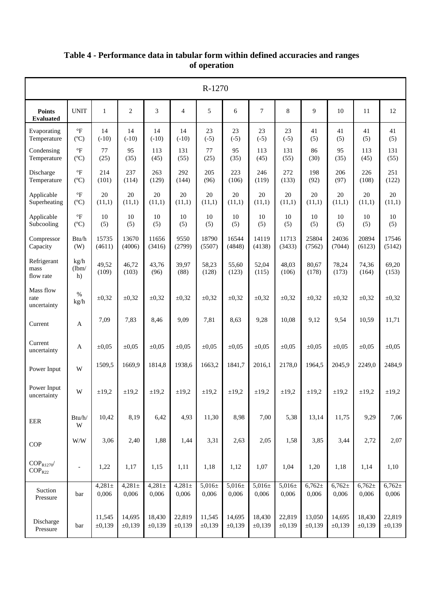|                                     | R-1270                                |                      |                      |                      |                      |                      |                      |                      |                      |                      |                      |                      |                      |
|-------------------------------------|---------------------------------------|----------------------|----------------------|----------------------|----------------------|----------------------|----------------------|----------------------|----------------------|----------------------|----------------------|----------------------|----------------------|
| <b>Points</b><br><b>Evaluated</b>   | <b>UNIT</b>                           | $\mathbf{1}$         | 2                    | 3                    | $\overline{4}$       | 5                    | 6                    | 7                    | 8                    | 9                    | 10                   | 11                   | 12                   |
| Evaporating<br>Temperature          | $\mathrm{^{\circ}F}$<br>(C)           | 14<br>$(-10)$        | 14<br>$(-10)$        | 14<br>$(-10)$        | 14<br>$(-10)$        | 23<br>$(-5)$         | 23<br>$(-5)$         | 23<br>$(-5)$         | 23<br>$(-5)$         | 41<br>(5)            | 41<br>(5)            | 41<br>(5)            | 41<br>(5)            |
| Condensing<br>Temperature           | $\mathrm{P}$<br>(C)                   | 77<br>(25)           | 95<br>(35)           | 113<br>(45)          | 131<br>(55)          | 77<br>(25)           | 95<br>(35)           | 113<br>(45)          | 131<br>(55)          | 86<br>(30)           | 95<br>(35)           | 113<br>(45)          | 131<br>(55)          |
| Discharge<br>Temperature            | $\mathrm{^{\circ}F}$<br>$(^{\circ}C)$ | 214<br>(101)         | 237<br>(114)         | 263<br>(129)         | 292<br>(144)         | 205<br>(96)          | 223<br>(106)         | 246<br>(119)         | 272<br>(133)         | 198<br>(92)          | 206<br>(97)          | 226<br>(108)         | 251<br>(122)         |
| Applicable<br>Superheating          | $\mathrm{^{\circ}F}$<br>$(^{\circ}C)$ | 20<br>(11,1)         | 20<br>(11,1)         | 20<br>(11,1)         | 20<br>(11,1)         | 20<br>(11,1)         | 20<br>(11,1)         | 20<br>(11,1)         | 20<br>(11,1)         | 20<br>(11,1)         | 20<br>(11,1)         | 20<br>(11,1)         | 20<br>(11,1)         |
| Applicable<br>Subcooling            | $\mathrm{^{\circ}F}$<br>$(^{\circ}C)$ | 10<br>(5)            | 10<br>(5)            | 10<br>(5)            | 10<br>(5)            | 10<br>(5)            | 10<br>(5)            | 10<br>(5)            | 10<br>(5)            | 10<br>(5)            | 10<br>(5)            | 10<br>(5)            | 10<br>(5)            |
| Compressor<br>Capacity              | Btu/h<br>(W)                          | 15735<br>(4611)      | 13670<br>(4006)      | 11656<br>(3416)      | 9550<br>(2799)       | 18790<br>(5507)      | 16544<br>(4848)      | 14119<br>(4138)      | 11713<br>(3433)      | 25804<br>(7562)      | 24036<br>(7044)      | 20894<br>(6123)      | 17546<br>(5142)      |
| Refrigerant<br>mass<br>flow rate    | kg/h<br>(lbm/<br>h)                   | 49,52<br>(109)       | 46,72<br>(103)       | 43,76<br>(96)        | 39,97<br>(88)        | 58,23<br>(128)       | 55,60<br>(123)       | 52,04<br>(115)       | 48,03<br>(106)       | 80,67<br>(178)       | 78,24<br>(173)       | 74,36<br>(164)       | 69,20<br>(153)       |
| Mass flow<br>rate<br>uncertainty    | $\%$<br>kg/h                          | $\pm 0,32$           | $\pm 0,32$           | $\pm 0,32$           | $\pm 0,32$           | $\pm 0,32$           | $\pm 0,32$           | $\pm 0,32$           | $\pm 0,32$           | $\pm 0,32$           | $\pm 0,32$           | $\pm 0,32$           | $\pm 0,32$           |
| Current                             | A                                     | 7,09                 | 7,83                 | 8,46                 | 9,09                 | 7,81                 | 8,63                 | 9,28                 | 10,08                | 9,12                 | 9,54                 | 10,59                | 11,71                |
| Current<br>uncertainty              | A                                     | $\pm 0.05$           | $\pm 0.05$           | $\pm 0.05$           | $\pm 0.05$           | $\pm 0.05$           | $\pm 0.05$           | $\pm 0.05$           | $\pm 0.05$           | $\pm 0.05$           | $\pm 0.05$           | $\pm 0.05$           | $\pm 0.05$           |
| Power Input                         | W                                     | 1509,5               | 1669,9               | 1814,8               | 1938,6               | 1663,2               | 1841,7               | 2016,1               | 2178,0               | 1964,5               | 2045,9               | 2249,0               | 2484,9               |
| Power Input<br>uncertainty          | W                                     | $\pm 19,2$           | $\pm 19,2$           | $\pm 19,2$           | $\pm 19,2$           | $\pm 19,2$           | $\pm 19,2$           | $\pm 19,2$           | $\pm 19,2$           | $\pm 19,2$           | $\pm 19,2$           | $\pm$ 19,2           | $\pm 19,2$           |
| EER                                 | Btu/h/<br>W                           | 10,42                | 8,19                 | 6,42                 | 4,93                 | 11,30                | 8,98                 | 7,00                 | 5,38                 | 13,14                | 11,75                | 9,29                 | 7,06                 |
| COP                                 | W/W                                   | 3,06                 | 2,40                 | 1,88                 | 1,44                 | 3,31                 | 2,63                 | 2,05                 | 1,58                 | 3,85                 | 3,44                 | 2,72                 | 2,07                 |
| $COP_{R1270}$<br>COP <sub>R22</sub> | $\overline{\phantom{a}}$              | 1,22                 | 1,17                 | 1,15                 | 1,11                 | 1,18                 | 1,12                 | 1,07                 | 1,04                 | 1,20                 | 1,18                 | 1,14                 | 1,10                 |
| Suction<br>Pressure                 | bar                                   | $4,281 \pm$<br>0,006 | $4,281 \pm$<br>0,006 | $4,281 \pm$<br>0,006 | $4,281 \pm$<br>0,006 | $5,016 \pm$<br>0,006 | $5,016 \pm$<br>0,006 | $5,016 \pm$<br>0,006 | $5,016 \pm$<br>0,006 | $6,762 \pm$<br>0,006 | $6,762 \pm$<br>0,006 | $6,762 \pm$<br>0,006 | $6,762 \pm$<br>0,006 |
| Discharge<br>Pressure               | bar                                   | 11,545<br>±0,139     | 14,695<br>±0,139     | 18,430<br>±0,139     | 22,819<br>±0,139     | 11,545<br>±0,139     | 14,695<br>±0,139     | 18,430<br>±0,139     | 22,819<br>±0,139     | 13,050<br>±0,139     | 14,695<br>±0,139     | 18,430<br>±0,139     | 22,819<br>±0,139     |

## **Table 4 - Performance data in tabular form within defined accuracies and ranges of operation**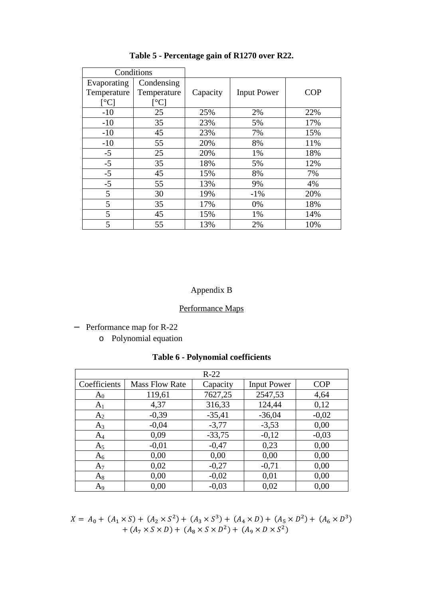|                          | Conditions        |          |                    |            |
|--------------------------|-------------------|----------|--------------------|------------|
| Evaporating              | Condensing        |          |                    |            |
| Temperature              | Temperature       | Capacity | <b>Input Power</b> | <b>COP</b> |
| $\lceil$ <sup>o</sup> Cl | $\rm ^{\circ}C$ ] |          |                    |            |
| $-10$                    | 25                | 25%      | 2%                 | 22%        |
| $-10$                    | 35                | 23%      | 5%                 | 17%        |
| $-10$                    | 45                | 23%      | 7%                 | 15%        |
| $-10$                    | 55                | 20%      | 8%                 | 11%        |
| $-5$                     | 25                | 20%      | 1%                 | 18%        |
| $-5$                     | 35                | 18%      | 5%                 | 12%        |
| $-5$                     | 45                | 15%      | 8%                 | 7%         |
| $-5$                     | 55                | 13%      | 9%                 | 4%         |
| 5                        | 30                | 19%      | $-1\%$             | 20%        |
| 5                        | 35                | 17%      | 0%                 | 18%        |
| 5                        | 45                | 15%      | 1%                 | 14%        |
| 5                        | 55                | 13%      | 2%                 | 10%        |

**Table 5 - Percentage gain of R1270 over R22.** 

# Appendix B

# Performance Maps

- − Performance map for R-22
	- o Polynomial equation

|  |  | <b>Table 6 - Polynomial coefficients</b> |
|--|--|------------------------------------------|
|--|--|------------------------------------------|

|                |                       | $R-22$   |                    |            |
|----------------|-----------------------|----------|--------------------|------------|
| Coefficients   | <b>Mass Flow Rate</b> | Capacity | <b>Input Power</b> | <b>COP</b> |
| $A_0$          | 119,61                | 7627,25  | 2547,53            | 4,64       |
| A <sub>1</sub> | 4,37                  | 316,33   | 124,44             | 0,12       |
| A <sub>2</sub> | $-0,39$               | $-35,41$ | $-36,04$           | $-0,02$    |
| $A_3$          | $-0,04$               | $-3,77$  | $-3,53$            | 0,00       |
| $A_4$          | 0,09                  | $-33,75$ | $-0,12$            | $-0,03$    |
| $A_5$          | $-0.01$               | $-0,47$  | 0,23               | 0,00       |
| $A_6$          | 0,00                  | 0,00     | 0,00               | 0,00       |
| A <sub>7</sub> | 0,02                  | $-0,27$  | $-0,71$            | 0,00       |
| $A_8$          | 0,00                  | $-0.02$  | 0,01               | 0,00       |
| A <sub>9</sub> | 0.00                  | $-0,03$  | 0,02               | 0.00       |

$$
X = A_0 + (A_1 \times S) + (A_2 \times S^2) + (A_3 \times S^3) + (A_4 \times D) + (A_5 \times D^2) + (A_6 \times D^3) + (A_7 \times S \times D) + (A_8 \times S \times D^2) + (A_9 \times D \times S^2)
$$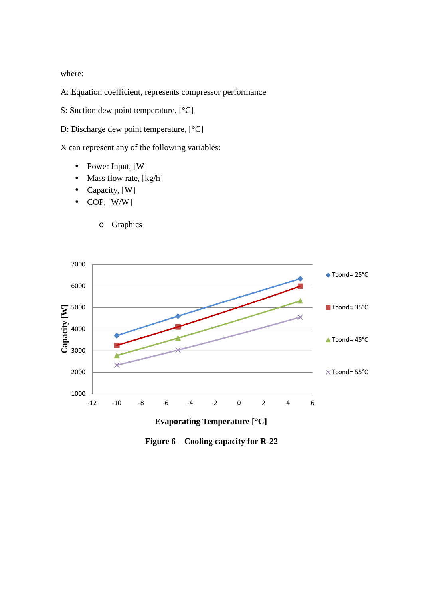where:

A: Equation coefficient, represents compressor performance

S: Suction dew point temperature, [°C]

D: Discharge dew point temperature, [°C]

X can represent any of the following variables:

- Power Input, [W]
- Mass flow rate, [kg/h]
- Capacity, [W]
- $\bullet$  COP, [W/W]
	- o Graphics



**Evaporating Temperature [°C]**

**Figure 6 – Cooling capacity for R-22**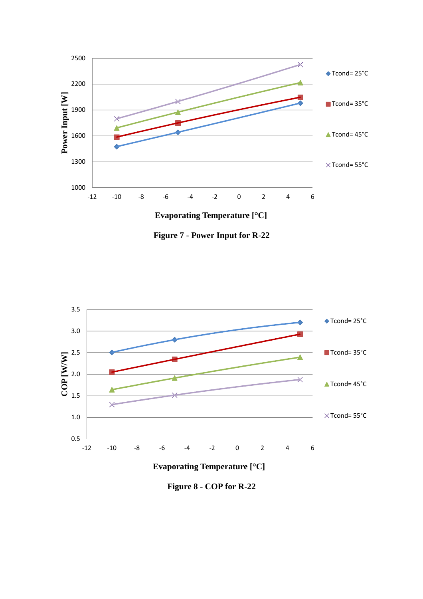

**Figure 7 - Power Input for R-22** 



**Figure 8 - COP for R-22**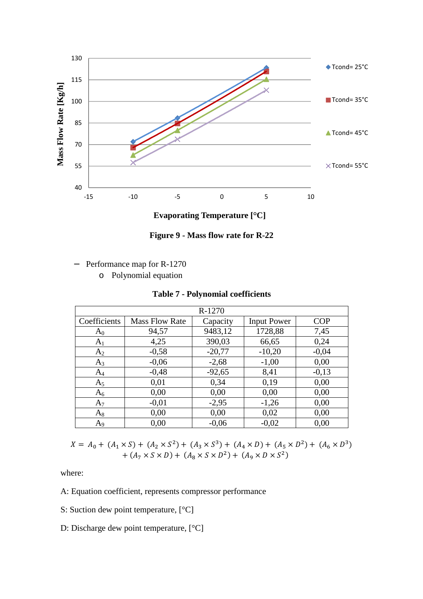

**Figure 9 - Mass flow rate for R-22** 

- − Performance map for R-1270
	- o Polynomial equation

## **Table 7 - Polynomial coefficients**

|                |                       | R-1270   |                    |            |
|----------------|-----------------------|----------|--------------------|------------|
| Coefficients   | <b>Mass Flow Rate</b> | Capacity | <b>Input Power</b> | <b>COP</b> |
| $A_0$          | 94,57                 | 9483,12  | 1728,88            | 7,45       |
| A <sub>1</sub> | 4,25                  | 390,03   | 66,65              | 0,24       |
| $A_2$          | $-0,58$               | $-20,77$ | $-10,20$           | $-0,04$    |
| $A_3$          | $-0,06$               | $-2,68$  | $-1,00$            | 0,00       |
| $A_4$          | $-0,48$               | $-92,65$ | 8,41               | $-0,13$    |
| $A_5$          | 0,01                  | 0,34     | 0,19               | 0,00       |
| $A_6$          | 0,00                  | 0,00     | 0,00               | 0,00       |
| $A_7$          | $-0,01$               | $-2,95$  | $-1,26$            | 0,00       |
| $A_8$          | 0,00                  | 0,00     | 0,02               | 0,00       |
| A <sub>9</sub> | 0.00                  | $-0.06$  | $-0,02$            | 0,00       |

$$
X = A_0 + (A_1 \times S) + (A_2 \times S^2) + (A_3 \times S^3) + (A_4 \times D) + (A_5 \times D^2) + (A_6 \times D^3) + (A_7 \times S \times D) + (A_8 \times S \times D^2) + (A_9 \times D \times S^2)
$$

where:

A: Equation coefficient, represents compressor performance

- S: Suction dew point temperature,  $[°C]$
- D: Discharge dew point temperature, [°C]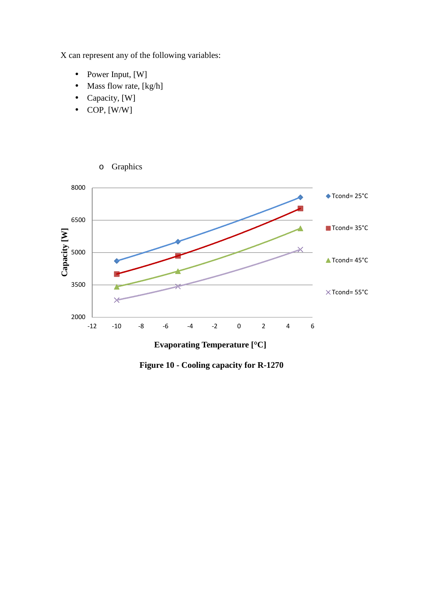X can represent any of the following variables:

- Power Input, [W]
- Mass flow rate,  $[kg/h]$

o Graphics

- Capacity, [W]
- $\bullet$  COP, [W/W]



**Evaporating Temperature [°C]**

**Figure 10 - Cooling capacity for R-1270**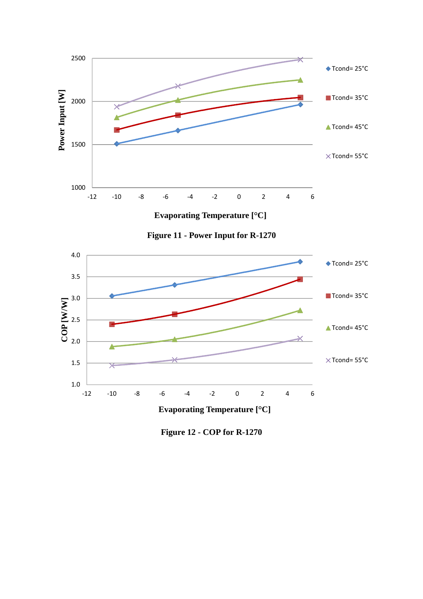

**Figure 12 - COP for R-1270**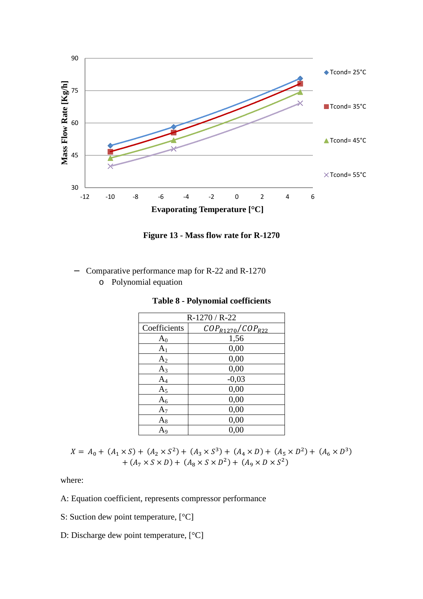

**Figure 13 - Mass flow rate for R-1270** 

- − Comparative performance map for R-22 and R-1270
	- o Polynomial equation

| R-1270 / R-22  |                         |  |  |  |  |
|----------------|-------------------------|--|--|--|--|
| Coefficients   | $COP_{R1270}/COP_{R22}$ |  |  |  |  |
| $A_0$          | 1,56                    |  |  |  |  |
| A <sub>1</sub> | 0,00                    |  |  |  |  |
| A <sub>2</sub> | 0,00                    |  |  |  |  |
| $A_3$          | 0,00                    |  |  |  |  |
| $A_4$          | $-0,03$                 |  |  |  |  |
| $A_5$          | 0,00                    |  |  |  |  |
| $A_6$          | 0,00                    |  |  |  |  |
| $A_7$          | 0,00                    |  |  |  |  |
| $A_8$          | 0,00                    |  |  |  |  |
| A9             | 0,00                    |  |  |  |  |

**Table 8 - Polynomial coefficients** 

 $X = A_0 + (A_1 \times S) + (A_2 \times S^2) + (A_3 \times S^3) + (A_4 \times D) + (A_5 \times D^2) + (A_6 \times D^3)$  $+ (A_7 \times S \times D) + (A_8 \times S \times D^2) + (A_9 \times D \times S^2)$ 

where:

A: Equation coefficient, represents compressor performance

- S: Suction dew point temperature, [°C]
- D: Discharge dew point temperature, [°C]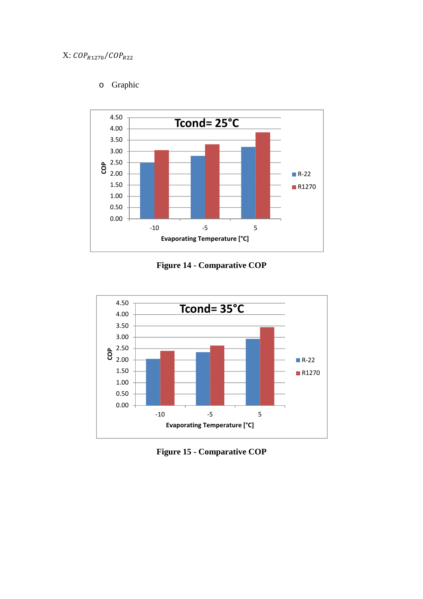# o Graphic



**Figure 14 - Comparative COP** 



**Figure 15 - Comparative COP**